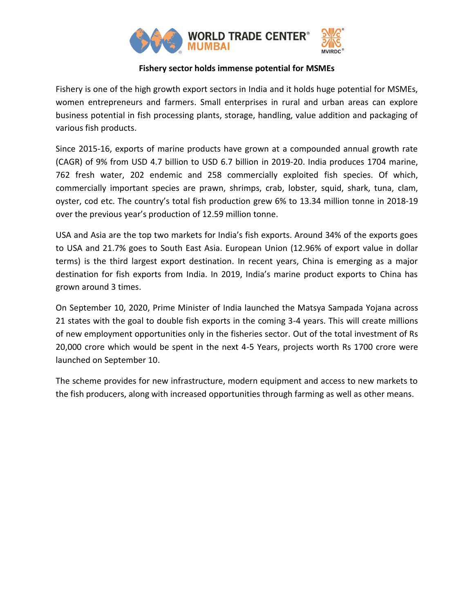

## **Fishery sector holds immense potential for MSMEs**

Fishery is one of the high growth export sectors in India and it holds huge potential for MSMEs, women entrepreneurs and farmers. Small enterprises in rural and urban areas can explore business potential in fish processing plants, storage, handling, value addition and packaging of various fish products.

Since 2015-16, exports of marine products have grown at a compounded annual growth rate (CAGR) of 9% from USD 4.7 billion to USD 6.7 billion in 2019-20. India produces 1704 marine, 762 fresh water, 202 endemic and 258 commercially exploited fish species. Of which, commercially important species are prawn, shrimps, crab, lobster, squid, shark, tuna, clam, oyster, cod etc. The country's total fish production grew 6% to 13.34 million tonne in 2018-19 over the previous year's production of 12.59 million tonne.

USA and Asia are the top two markets for India's fish exports. Around 34% of the exports goes to USA and 21.7% goes to South East Asia. European Union (12.96% of export value in dollar terms) is the third largest export destination. In recent years, China is emerging as a major destination for fish exports from India. In 2019, India's marine product exports to China has grown around 3 times.

On September 10, 2020, Prime Minister of India launched the Matsya Sampada Yojana across 21 states with the goal to double fish exports in the coming 3-4 years. This will create millions of new employment opportunities only in the fisheries sector. Out of the total investment of Rs 20,000 crore which would be spent in the next 4-5 Years, projects worth Rs 1700 crore were launched on September 10.

The scheme provides for new infrastructure, modern equipment and access to new markets to the fish producers, along with increased opportunities through farming as well as other means.